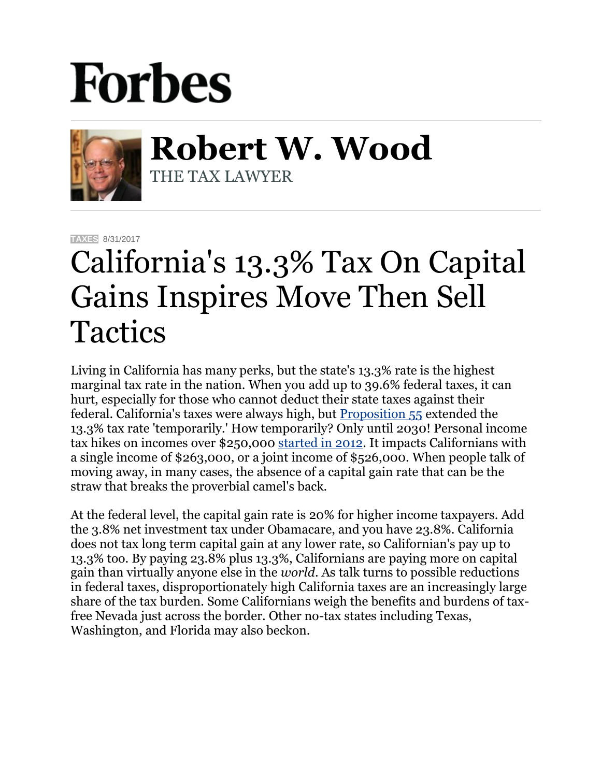## **Forbes**



**Robert W. Wood** THE TAX LAWYER

**[TAXES](https://www.forbes.com/taxes)** 8/31/2017

## California's 13.3% Tax On Capital Gains Inspires Move Then Sell Tactics

Living in California has many perks, but the state's 13.3% rate is the highest marginal tax rate in the nation. When you add up to 39.6% federal taxes, it can hurt, especially for those who cannot deduct their state taxes against their federal. California's taxes were always high, but [Proposition 55](http://voterguide.sos.ca.gov/en/propositions/55/analysis.htm) extended the 13.3% tax rate 'temporarily.' How temporarily? Only until 2030! Personal income tax hikes on incomes over \$250,000 [started in 2012.](https://ballotpedia.org/California_Proposition_30,_Sales_and_Income_Tax_Increase_(2012)) It impacts Californians with a single income of \$263,000, or a joint income of \$526,000. When people talk of moving away, in many cases, the absence of a capital gain rate that can be the straw that breaks the proverbial camel's back.

At the federal level, the capital gain rate is 20% for higher income taxpayers. Add the 3.8% net investment tax under Obamacare, and you have 23.8%. California does not tax long term capital gain at any lower rate, so Californian's pay up to 13.3% too. By paying 23.8% plus 13.3%, Californians are paying more on capital gain than virtually anyone else in the *world*. As talk turns to possible reductions in federal taxes, disproportionately high California taxes are an increasingly large share of the tax burden. Some Californians weigh the benefits and burdens of taxfree Nevada just across the border. Other no-tax states including Texas, Washington, and Florida may also beckon.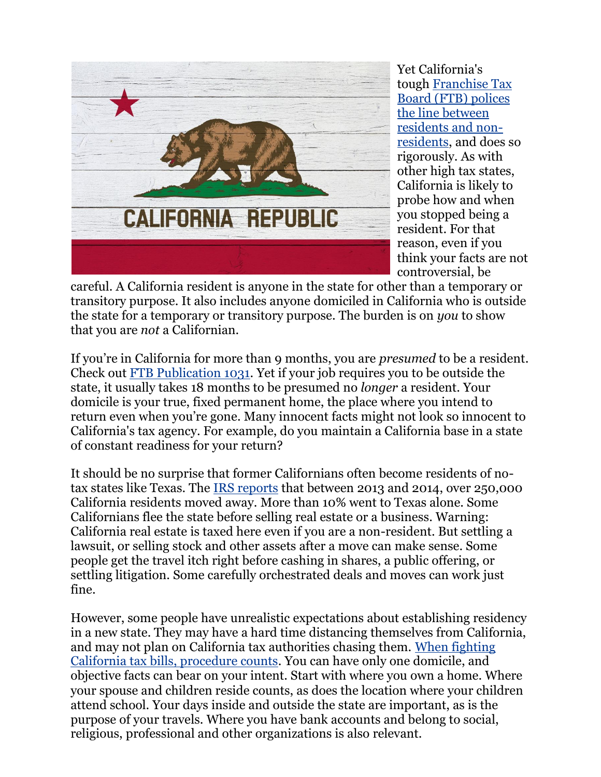

Yet California's tough [Franchise Tax](https://www.ftb.ca.gov/individuals/fileRtn/Nonresidents-Part-Year-Residents.shtml#residency_status)  [Board \(FTB\) polices](https://www.ftb.ca.gov/individuals/fileRtn/Nonresidents-Part-Year-Residents.shtml#residency_status)  [the line between](https://www.ftb.ca.gov/individuals/fileRtn/Nonresidents-Part-Year-Residents.shtml#residency_status)  [residents and non](https://www.ftb.ca.gov/individuals/fileRtn/Nonresidents-Part-Year-Residents.shtml#residency_status)[residents,](https://www.ftb.ca.gov/individuals/fileRtn/Nonresidents-Part-Year-Residents.shtml#residency_status) and does so rigorously. As with other high tax states, California is likely to probe how and when you stopped being a resident. For that reason, even if you think your facts are not controversial, be

careful. A California resident is anyone in the state for other than a temporary or transitory purpose. It also includes anyone domiciled in California who is outside the state for a temporary or transitory purpose. The burden is on *you* to show that you are *not* a Californian.

If you're in California for more than 9 months, you are *presumed* to be a resident. Check out [FTB Publication 1031.](https://www.ftb.ca.gov/forms/2011/11_1031.pdf) Yet if your job requires you to be outside the state, it usually takes 18 months to be presumed no *longer* a resident. Your domicile is your true, fixed permanent home, the place where you intend to return even when you're gone. Many innocent facts might not look so innocent to California's tax agency. For example, do you maintain a California base in a state of constant readiness for your return?

It should be no surprise that former Californians often become residents of notax states like Texas. The [IRS reports](https://www.irs.gov/uac/soi-tax-stats-migration-data-2013-2014) that between 2013 and 2014, over 250,000 California residents moved away. More than 10% went to Texas alone. Some Californians flee the state before selling real estate or a business. Warning: California real estate is taxed here even if you are a non-resident. But settling a lawsuit, or selling stock and other assets after a move can make sense. Some people get the travel itch right before cashing in shares, a public offering, or settling litigation. Some carefully orchestrated deals and moves can work just fine.

However, some people have unrealistic expectations about establishing residency in a new state. They may have a hard time distancing themselves from California, and may not plan on California tax authorities chasing them. [When fighting](http://www.forbes.com/sites/robertwood/2016/10/20/to-fight-california-tax-bills-procedure-counts/#228222b4eb65)  [California tax bills, procedure counts.](http://www.forbes.com/sites/robertwood/2016/10/20/to-fight-california-tax-bills-procedure-counts/#228222b4eb65) You can have only one domicile, and objective facts can bear on your intent. Start with where you own a home. Where your spouse and children reside counts, as does the location where your children attend school. Your days inside and outside the state are important, as is the purpose of your travels. Where you have bank accounts and belong to social, religious, professional and other organizations is also relevant.